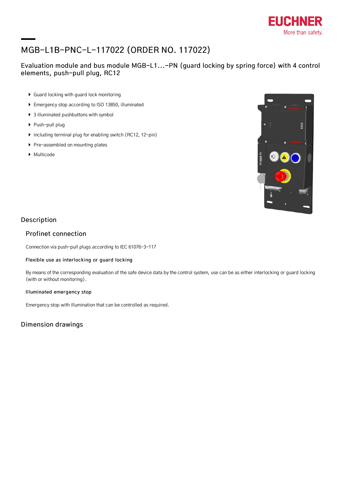

# MGB-L1B-PNC-L-117022 (ORDER NO. 117022)

### Evaluation module and bus module MGB-L1...-PN (guard locking by spring force) with 4 control elements, push-pull plug, RC12

- Guard locking with guard lock monitoring
- Emergency stop according to ISO 13850, illuminated
- ▶ 3 illuminated pushbuttons with symbol
- ▶ Push-pull plug
- $\triangleright$  including terminal plug for enabling switch (RC12, 12-pin)
- Pre-assembled on mounting plates
- ▶ Multicode



### Description

#### Profinet connection

Connection via push-pull plugs according to IEC 61076-3-117

#### Flexible use as interlocking or guard locking

By means of the corresponding evaluation of the safe device data by the control system, use can be as either interlocking or guard locking (with or without monitoring).

#### Illuminated emergency stop

Emergency stop with illumination that can be controlled as required.

### Dimension drawings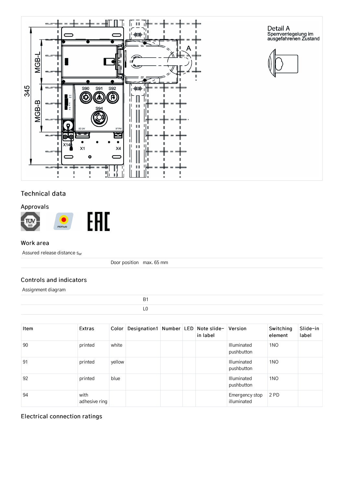

### Technical data

### Approvals



#### Work area

Assured release distance s ar

Door position max. 65 mm

#### Controls and indicators

Assignment diagram

| Item | Extras                | Color  | Designation1   Number   LED   Note slide- |  | in label | Version                          | Switching<br>element | Slide-in<br>label |
|------|-----------------------|--------|-------------------------------------------|--|----------|----------------------------------|----------------------|-------------------|
| 90   | printed               | white  |                                           |  |          | <b>Illuminated</b><br>pushbutton | 1 <sub>NO</sub>      |                   |
| 91   | printed               | yellow |                                           |  |          | Illuminated<br>pushbutton        | 1 <sub>NO</sub>      |                   |
| 92   | printed               | blue   |                                           |  |          | Illuminated<br>pushbutton        | 1 <sub>NO</sub>      |                   |
| 94   | with<br>adhesive ring |        |                                           |  |          | Emergency stop<br>illuminated    | 2 PD                 |                   |

### Electrical connection ratings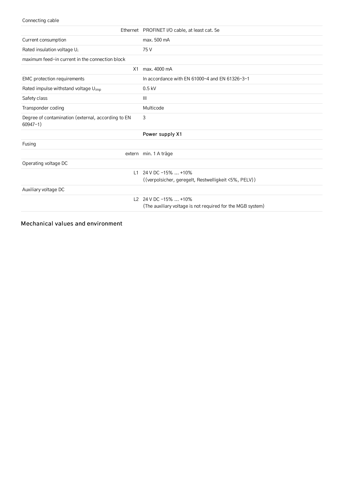#### Connecting cable

|                                                                    | Ethernet PROFINET I/O cable, at least cat. 5e              |
|--------------------------------------------------------------------|------------------------------------------------------------|
| Current consumption                                                | max. 500 mA                                                |
| Rated insulation voltage U <sub>i</sub>                            | 75 V                                                       |
| maximum feed-in current in the connection block                    |                                                            |
| X1                                                                 | max, 4000 mA                                               |
| <b>EMC</b> protection requirements                                 | In accordance with EN $61000-4$ and EN $61326-3-1$         |
| Rated impulse withstand voltage U <sub>imp</sub>                   | $0.5$ kV                                                   |
| Safety class                                                       | Ш                                                          |
| Transponder coding                                                 | Multicode                                                  |
| Degree of contamination (external, according to EN<br>$60947 - 1)$ | 3                                                          |
|                                                                    | Power supply X1                                            |
| Fusing                                                             |                                                            |
|                                                                    | extern min. 1 A träge                                      |
| Operating voltage DC                                               |                                                            |
| L1                                                                 | 24 V DC -15%  +10%                                         |
|                                                                    | ((verpolsicher, geregelt, Restwelligkeit <5%, PELV))       |
| Auxiliary voltage DC                                               |                                                            |
|                                                                    | L2 24 V DC -15%  +10%                                      |
|                                                                    | (The auxiliary voltage is not required for the MGB system) |

Mechanical values and environment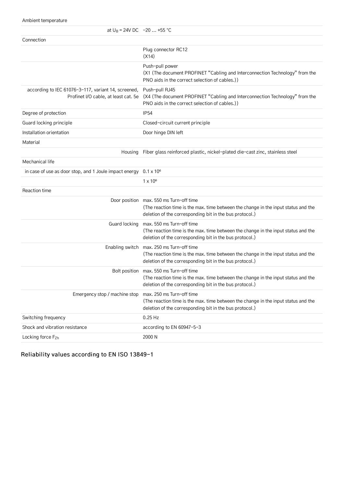Ambient temperature

| at $U_B = 24V$ DC $-20$ +55 °C                                                              |                                                                                                                                                                                            |
|---------------------------------------------------------------------------------------------|--------------------------------------------------------------------------------------------------------------------------------------------------------------------------------------------|
| Connection                                                                                  |                                                                                                                                                                                            |
|                                                                                             | Plug connector RC12<br>(X14)                                                                                                                                                               |
|                                                                                             | Push-pull power<br>(X1 (The document PROFINET "Cabling and Interconnection Technology" from the<br>PNO aids in the correct selection of cables.))                                          |
| according to IEC 61076-3-117, variant 14, screened,<br>Profinet I/O cable, at least cat. 5e | Push-pull RJ45<br>(X4 (The document PROFINET "Cabling and Interconnection Technology" from the<br>PNO aids in the correct selection of cables.))                                           |
| Degree of protection                                                                        | <b>IP54</b>                                                                                                                                                                                |
| Guard locking principle                                                                     | Closed-circuit current principle                                                                                                                                                           |
| Installation orientation                                                                    | Door hinge DIN left                                                                                                                                                                        |
| Material                                                                                    |                                                                                                                                                                                            |
| Housing                                                                                     | Fiber glass reinforced plastic, nickel-plated die-cast zinc, stainless steel                                                                                                               |
| Mechanical life                                                                             |                                                                                                                                                                                            |
| in case of use as door stop, and 1 Joule impact energy                                      | $0.1 \times 10^{6}$                                                                                                                                                                        |
|                                                                                             | $1 \times 10^6$                                                                                                                                                                            |
| Reaction time                                                                               |                                                                                                                                                                                            |
|                                                                                             | Door position max. 550 ms Turn-off time<br>(The reaction time is the max. time between the change in the input status and the<br>deletion of the corresponding bit in the bus protocol.)   |
| Guard locking                                                                               | max. 550 ms Turn-off time<br>(The reaction time is the max. time between the change in the input status and the<br>deletion of the corresponding bit in the bus protocol.)                 |
|                                                                                             | Enabling switch max. 250 ms Turn-off time<br>(The reaction time is the max. time between the change in the input status and the<br>deletion of the corresponding bit in the bus protocol.) |
|                                                                                             | Bolt position max. 550 ms Turn-off time<br>(The reaction time is the max. time between the change in the input status and the<br>deletion of the corresponding bit in the bus protocol.)   |
| Emergency stop / machine stop                                                               | max. 250 ms Turn-off time<br>(The reaction time is the max. time between the change in the input status and the<br>deletion of the corresponding bit in the bus protocol.)                 |
| Switching frequency                                                                         | $0.25$ Hz                                                                                                                                                                                  |
| Shock and vibration resistance                                                              | according to EN 60947-5-3                                                                                                                                                                  |
| Locking force Fzh                                                                           | 2000 N                                                                                                                                                                                     |

Reliability values according to EN ISO 13849-1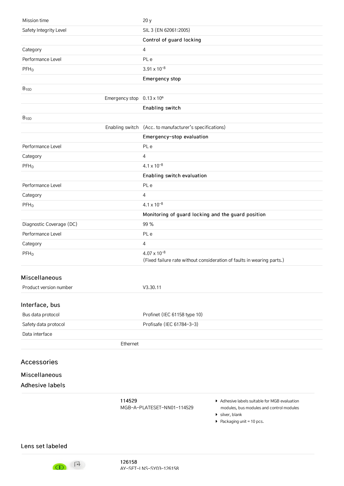| 114529                                | Adhesive labels suitable for MGB evaluation<br>MCD-A-DIATECET-NMO1-114E20                       |
|---------------------------------------|-------------------------------------------------------------------------------------------------|
| <b>Adhesive labels</b>                |                                                                                                 |
| Miscellaneous                         |                                                                                                 |
| <b>Accessories</b>                    |                                                                                                 |
|                                       |                                                                                                 |
| Ethernet                              |                                                                                                 |
| Data interface                        |                                                                                                 |
| Safety data protocol                  | Profisafe (IEC 61784-3-3)                                                                       |
| Interface, bus<br>Bus data protocol   | Profinet (IEC 61158 type 10)                                                                    |
|                                       |                                                                                                 |
| Product version number                | V3.30.11                                                                                        |
| Miscellaneous                         |                                                                                                 |
| PFH <sub>D</sub>                      | $4.07 \times 10^{-8}$<br>(Fixed failure rate without consideration of faults in wearing parts.) |
| Category                              | 4                                                                                               |
| Performance Level                     | PL e                                                                                            |
| Diagnostic Coverage (DC)              | 99 %                                                                                            |
|                                       | Monitoring of guard locking and the guard position                                              |
| $PFH_D$                               | $4.1 \times 10^{-8}$                                                                            |
| Category                              | 4                                                                                               |
| Performance Level                     | PL e                                                                                            |
|                                       | Enabling switch evaluation                                                                      |
| $PFH_D$                               | $4.1 \times 10^{-8}$                                                                            |
| Category                              | 4                                                                                               |
| Performance Level                     | PL e                                                                                            |
|                                       | Emergency-stop evaluation                                                                       |
|                                       | Enabling switch (Acc. to manufacturer's specifications)                                         |
| $B_{10D}$                             |                                                                                                 |
| Emergency stop 0.13 x 10 <sup>6</sup> | Enabling switch                                                                                 |
| $B_{10D}$                             |                                                                                                 |
|                                       | Emergency stop                                                                                  |
| $PFH_D$                               | $3.91 \times 10^{-8}$                                                                           |
| Performance Level                     | PL e                                                                                            |
| Category                              | 4                                                                                               |
|                                       | Control of guard locking                                                                        |
| Safety Integrity Level                | SIL 3 (EN 62061:2005)                                                                           |
| Mission time                          | 20y                                                                                             |

[MGB-A-PLATESET-NN01-114529](http://www.euchner.de/en-us/a/114529/)

- modules, bus modules and control modules
- ▶ silver, blank
- $\blacktriangleright$  Packaging unit = 10 pcs.

<span id="page-4-0"></span>Lens set [labeled](#page-5-1)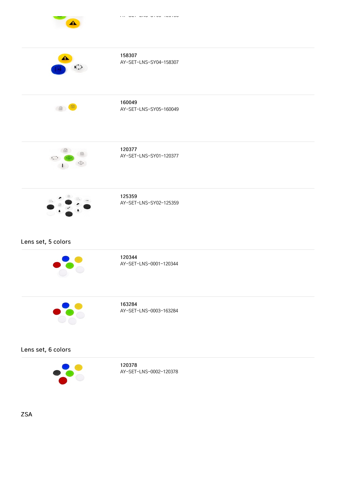<span id="page-5-1"></span><span id="page-5-0"></span>

|                                              | 158307<br>AY-SET-LNS-SY04-158307 |
|----------------------------------------------|----------------------------------|
| 20                                           | 160049<br>AY-SET-LNS-SY05-160049 |
| 面<br>$\textcircled{\scriptsize{\textsf{m}}}$ | 120377<br>AY-SET-LNS-SY01-120377 |
|                                              | 125359<br>AY-SET-LNS-SY02-125359 |
| Lens set, 5 colors                           |                                  |
|                                              | 120344<br>AY-SET-LNS-0001-120344 |
| $\bullet \bullet \bullet$                    | 163284<br>AY-SET-LNS-0003-163284 |
| Lens set, 6 colors                           |                                  |

<span id="page-5-3"></span><span id="page-5-2"></span>

120378 [AY-SET-LNS-0002-120378](http://www.euchner.de/en-us/a/120378/)

[ZSA](#page-6-0)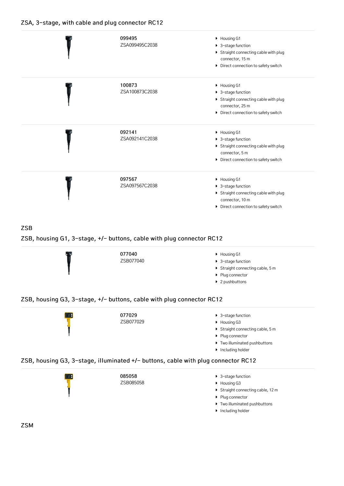### <span id="page-6-0"></span>ZSA, 3-stage, with cable and plug [connector](#page-6-1) RC12

<span id="page-6-1"></span>

|                         | 099495<br>ZSA099495C2038                                              | • Housing G1<br>▶ 3-stage function<br>Straight connecting cable with plug<br>connector, 15 m<br>Direct connection to safety switch |
|-------------------------|-----------------------------------------------------------------------|------------------------------------------------------------------------------------------------------------------------------------|
|                         | 100873<br>ZSA100873C2038                                              | • Housing G1<br>▶ 3-stage function<br>Straight connecting cable with plug<br>connector, 25 m<br>Direct connection to safety switch |
|                         | 092141<br>ZSA092141C2038                                              | Housing G1<br>▶ 3-stage function<br>Straight connecting cable with plug<br>connector, 5 m<br>Direct connection to safety switch    |
|                         | 097567<br>ZSA097567C2038                                              | • Housing G1<br>▶ 3-stage function<br>Straight connecting cable with plug<br>connector, 10 m<br>Direct connection to safety switch |
| <b>ZSB</b>              | ZSB, housing G1, 3-stage, +/- buttons, cable with plug connector RC12 |                                                                                                                                    |
|                         | 077040<br>ZSB077040                                                   | Housing G1<br>▶ 3-stage function<br>Straight connecting cable, 5 m<br>▶ Plug connector<br>$\blacktriangleright$ 2 pushbuttons      |
|                         | ZSB, housing G3, 3-stage, +/- buttons, cable with plug connector RC12 |                                                                                                                                    |
| <b>The Second State</b> | 077029                                                                | $\bullet$ 3-ctang function                                                                                                         |

<span id="page-6-4"></span><span id="page-6-3"></span><span id="page-6-2"></span>077029 [ZSB077029](http://www.euchner.de/en-us/a/077029/) 3-stage function ▶ Housing G3  $\blacktriangleright$  Straight connecting cable, 5 m  $\blacktriangleright$  Plug connector  $\blacktriangleright$  Two illuminated pushbuttons **Including holder** ZSB, housing G3, 3-stage, [illuminated](#page-6-5) +/- buttons, cable with plug connector RC12 085058 ▶ 3-stage function

<span id="page-6-5"></span>[ZSB085058](http://www.euchner.de/en-us/a/085058/) ▶ Housing G3 Straight connecting cable, 12 m Plug connector Two illuminated pushbuttons **Including holder** 

[ZSM](#page-7-0)